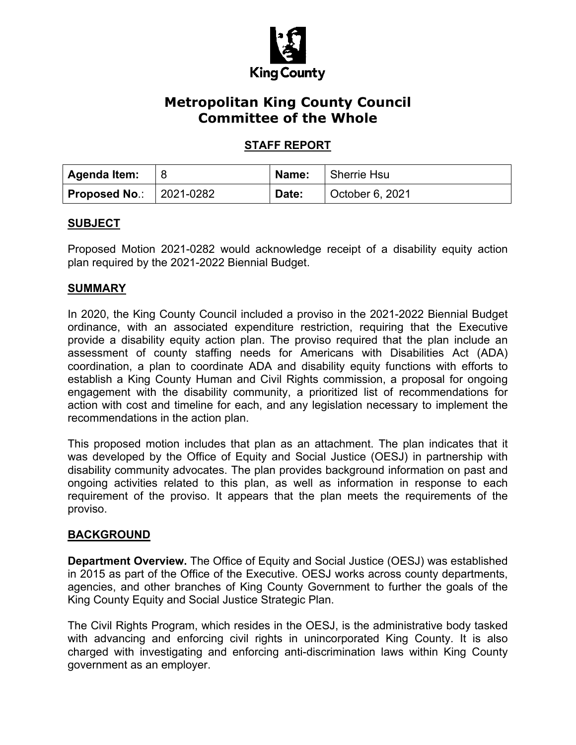

# **Metropolitan King County Council Committee of the Whole**

# **STAFF REPORT**

| <b>Agenda Item:</b>            | <b>Name:</b> | Sherrie Hsu     |
|--------------------------------|--------------|-----------------|
| <b>Proposed No.: 2021-0282</b> | Date:        | October 6, 2021 |

#### **SUBJECT**

Proposed Motion 2021-0282 would acknowledge receipt of a disability equity action plan required by the 2021-2022 Biennial Budget.

#### **SUMMARY**

In 2020, the King County Council included a proviso in the 2021-2022 Biennial Budget ordinance, with an associated expenditure restriction, requiring that the Executive provide a disability equity action plan. The proviso required that the plan include an assessment of county staffing needs for Americans with Disabilities Act (ADA) coordination, a plan to coordinate ADA and disability equity functions with efforts to establish a King County Human and Civil Rights commission, a proposal for ongoing engagement with the disability community, a prioritized list of recommendations for action with cost and timeline for each, and any legislation necessary to implement the recommendations in the action plan.

This proposed motion includes that plan as an attachment. The plan indicates that it was developed by the Office of Equity and Social Justice (OESJ) in partnership with disability community advocates. The plan provides background information on past and ongoing activities related to this plan, as well as information in response to each requirement of the proviso. It appears that the plan meets the requirements of the proviso.

## **BACKGROUND**

**Department Overview.** The Office of Equity and Social Justice (OESJ) was established in 2015 as part of the Office of the Executive. OESJ works across county departments, agencies, and other branches of King County Government to further the goals of the King County Equity and Social Justice Strategic Plan.

The Civil Rights Program, which resides in the OESJ, is the administrative body tasked with advancing and enforcing civil rights in unincorporated King County. It is also charged with investigating and enforcing anti-discrimination laws within King County government as an employer.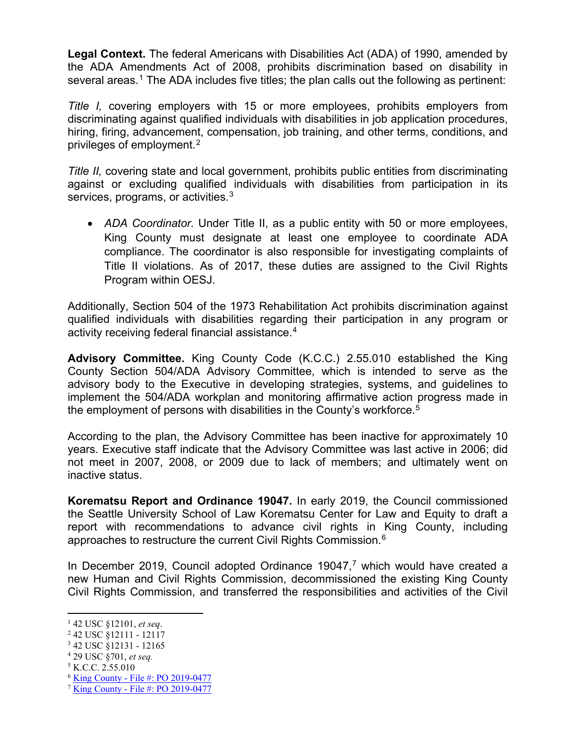**Legal Context.** The federal Americans with Disabilities Act (ADA) of 1990, amended by the ADA Amendments Act of 2008, prohibits discrimination based on disability in several areas. [1](#page-1-0) The ADA includes five titles; the plan calls out the following as pertinent:

*Title I,* covering employers with 15 or more employees, prohibits employers from discriminating against qualified individuals with disabilities in job application procedures, hiring, firing, advancement, compensation, job training, and other terms, conditions, and privileges of employment.[2](#page-1-1)

*Title II,* covering state and local government, prohibits public entities from discriminating against or excluding qualified individuals with disabilities from participation in its services, programs, or activities.<sup>[3](#page-1-2)</sup>

• *ADA Coordinator.* Under Title II, as a public entity with 50 or more employees, King County must designate at least one employee to coordinate ADA compliance. The coordinator is also responsible for investigating complaints of Title II violations. As of 2017, these duties are assigned to the Civil Rights Program within OESJ.

Additionally, Section 504 of the 1973 Rehabilitation Act prohibits discrimination against qualified individuals with disabilities regarding their participation in any program or activity receiving federal financial assistance.<sup>[4](#page-1-3)</sup>

**Advisory Committee.** King County Code (K.C.C.) 2.55.010 established the King County Section 504/ADA Advisory Committee, which is intended to serve as the advisory body to the Executive in developing strategies, systems, and guidelines to implement the 504/ADA workplan and monitoring affirmative action progress made in the employment of persons with disabilities in the County's workforce.<sup>[5](#page-1-4)</sup>

According to the plan, the Advisory Committee has been inactive for approximately 10 years. Executive staff indicate that the Advisory Committee was last active in 2006; did not meet in 2007, 2008, or 2009 due to lack of members; and ultimately went on inactive status.

**Korematsu Report and Ordinance 19047.** In early 2019, the Council commissioned the Seattle University School of Law Korematsu Center for Law and Equity to draft a report with recommendations to advance civil rights in King County, including approaches to restructure the current Civil Rights Commission.<sup>[6](#page-1-5)</sup>

In December 2019, Council adopted Ordinance 1904[7](#page-1-6), $<sup>7</sup>$  which would have created a</sup> new Human and Civil Rights Commission, decommissioned the existing King County Civil Rights Commission, and transferred the responsibilities and activities of the Civil

<span id="page-1-0"></span><sup>1</sup> 42 USC §12101, *et seq*.

<span id="page-1-1"></span><sup>2</sup> 42 USC §12111 - 12117

<span id="page-1-2"></span><sup>3</sup> 42 USC §12131 - 12165

<span id="page-1-3"></span><sup>4</sup> 29 USC §701, *et seq.* 

<span id="page-1-4"></span> $5$  K.C.C. 2.55.010

<span id="page-1-5"></span><sup>6</sup> King County - [File #: PO 2019-0477](https://mkcclegisearch.kingcounty.gov/LegislationDetail.aspx?ID=4223080&GUID=5EA195C2-5086-4985-89DD-06C886FFB3F5&Options=Advanced&Search=)

<span id="page-1-6"></span><sup>7</sup> King County - [File #: PO 2019-0477](https://mkcclegisearch.kingcounty.gov/LegislationDetail.aspx?ID=4223080&GUID=5EA195C2-5086-4985-89DD-06C886FFB3F5&Options=Advanced&Search=)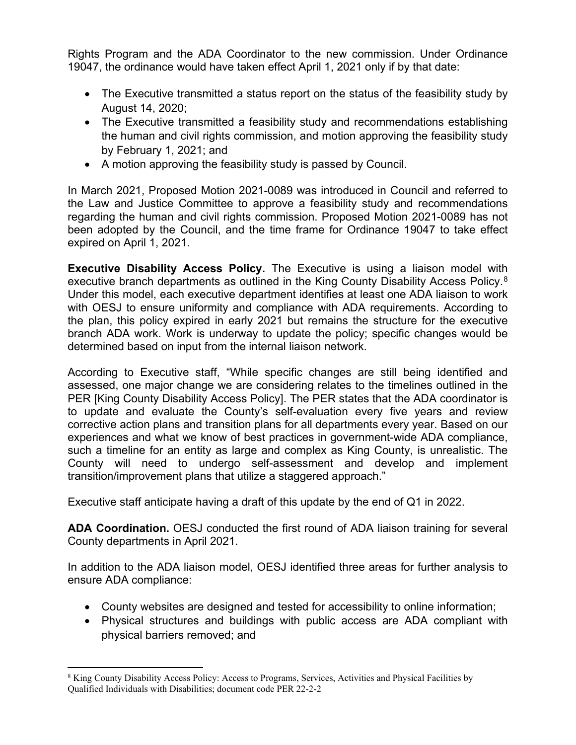Rights Program and the ADA Coordinator to the new commission. Under Ordinance 19047, the ordinance would have taken effect April 1, 2021 only if by that date:

- The Executive transmitted a status report on the status of the feasibility study by August 14, 2020;
- The Executive transmitted a feasibility study and recommendations establishing the human and civil rights commission, and motion approving the feasibility study by February 1, 2021; and
- A motion approving the feasibility study is passed by Council.

In March 2021, Proposed Motion 2021-0089 was introduced in Council and referred to the Law and Justice Committee to approve a feasibility study and recommendations regarding the human and civil rights commission. Proposed Motion 2021-0089 has not been adopted by the Council, and the time frame for Ordinance 19047 to take effect expired on April 1, 2021.

**Executive Disability Access Policy.** The Executive is using a liaison model with executive branch departments as outlined in the King County Disability Access Policy.<sup>[8](#page-2-0)</sup> Under this model, each executive department identifies at least one ADA liaison to work with OESJ to ensure uniformity and compliance with ADA requirements. According to the plan, this policy expired in early 2021 but remains the structure for the executive branch ADA work. Work is underway to update the policy; specific changes would be determined based on input from the internal liaison network.

According to Executive staff, "While specific changes are still being identified and assessed, one major change we are considering relates to the timelines outlined in the PER [King County Disability Access Policy]. The PER states that the ADA coordinator is to update and evaluate the County's self-evaluation every five years and review corrective action plans and transition plans for all departments every year. Based on our experiences and what we know of best practices in government-wide ADA compliance, such a timeline for an entity as large and complex as King County, is unrealistic. The County will need to undergo self-assessment and develop and implement transition/improvement plans that utilize a staggered approach."

Executive staff anticipate having a draft of this update by the end of Q1 in 2022.

**ADA Coordination.** OESJ conducted the first round of ADA liaison training for several County departments in April 2021.

In addition to the ADA liaison model, OESJ identified three areas for further analysis to ensure ADA compliance:

- County websites are designed and tested for accessibility to online information;
- Physical structures and buildings with public access are ADA compliant with physical barriers removed; and

<span id="page-2-0"></span><sup>&</sup>lt;sup>8</sup> King County Disability Access Policy: Access to Programs, Services, Activities and Physical Facilities by Qualified Individuals with Disabilities; document code PER 22-2-2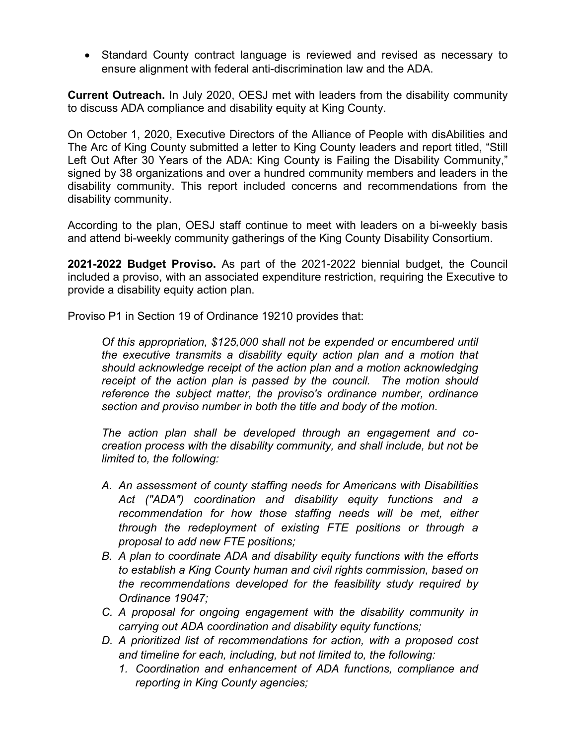• Standard County contract language is reviewed and revised as necessary to ensure alignment with federal anti-discrimination law and the ADA.

**Current Outreach.** In July 2020, OESJ met with leaders from the disability community to discuss ADA compliance and disability equity at King County.

On October 1, 2020, Executive Directors of the Alliance of People with disAbilities and The Arc of King County submitted a letter to King County leaders and report titled, "Still Left Out After 30 Years of the ADA: King County is Failing the Disability Community," signed by 38 organizations and over a hundred community members and leaders in the disability community. This report included concerns and recommendations from the disability community.

According to the plan, OESJ staff continue to meet with leaders on a bi-weekly basis and attend bi-weekly community gatherings of the King County Disability Consortium.

**2021-2022 Budget Proviso.** As part of the 2021-2022 biennial budget, the Council included a proviso, with an associated expenditure restriction, requiring the Executive to provide a disability equity action plan.

Proviso P1 in Section 19 of Ordinance 19210 provides that:

*Of this appropriation, \$125,000 shall not be expended or encumbered until the executive transmits a disability equity action plan and a motion that should acknowledge receipt of the action plan and a motion acknowledging receipt of the action plan is passed by the council. The motion should reference the subject matter, the proviso's ordinance number, ordinance section and proviso number in both the title and body of the motion.*

*The action plan shall be developed through an engagement and cocreation process with the disability community, and shall include, but not be limited to, the following:*

- *A. An assessment of county staffing needs for Americans with Disabilities Act ("ADA") coordination and disability equity functions and a recommendation for how those staffing needs will be met, either through the redeployment of existing FTE positions or through a proposal to add new FTE positions;*
- *B. A plan to coordinate ADA and disability equity functions with the efforts to establish a King County human and civil rights commission, based on the recommendations developed for the feasibility study required by Ordinance 19047;*
- *C. A proposal for ongoing engagement with the disability community in carrying out ADA coordination and disability equity functions;*
- *D. A prioritized list of recommendations for action, with a proposed cost and timeline for each, including, but not limited to, the following:*
	- *1. Coordination and enhancement of ADA functions, compliance and reporting in King County agencies;*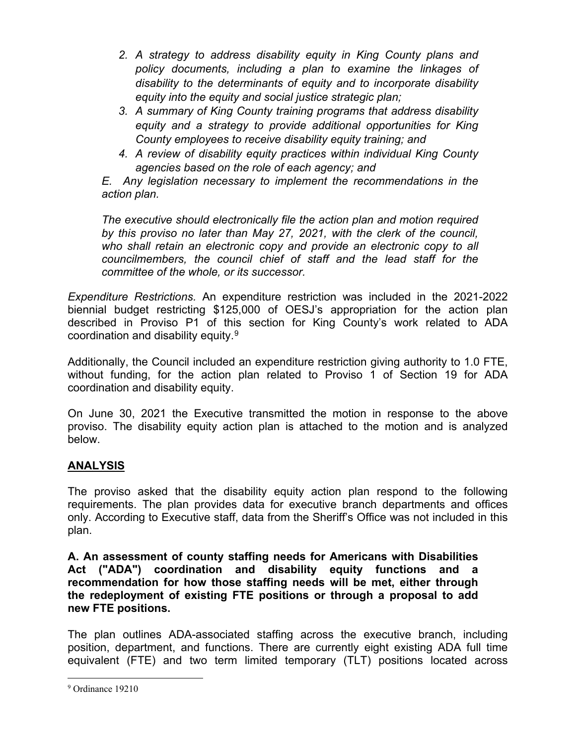- *2. A strategy to address disability equity in King County plans and policy documents, including a plan to examine the linkages of disability to the determinants of equity and to incorporate disability equity into the equity and social justice strategic plan;*
- *3. A summary of King County training programs that address disability equity and a strategy to provide additional opportunities for King County employees to receive disability equity training; and*
- *4. A review of disability equity practices within individual King County agencies based on the role of each agency; and*

*E. Any legislation necessary to implement the recommendations in the action plan.*

*The executive should electronically file the action plan and motion required by this proviso no later than May 27, 2021, with the clerk of the council, who shall retain an electronic copy and provide an electronic copy to all councilmembers, the council chief of staff and the lead staff for the committee of the whole, or its successor.*

*Expenditure Restrictions.* An expenditure restriction was included in the 2021-2022 biennial budget restricting \$125,000 of OESJ's appropriation for the action plan described in Proviso P1 of this section for King County's work related to ADA coordination and disability equity.[9](#page-4-0)

Additionally, the Council included an expenditure restriction giving authority to 1.0 FTE, without funding, for the action plan related to Proviso 1 of Section 19 for ADA coordination and disability equity.

On June 30, 2021 the Executive transmitted the motion in response to the above proviso. The disability equity action plan is attached to the motion and is analyzed below.

# **ANALYSIS**

The proviso asked that the disability equity action plan respond to the following requirements. The plan provides data for executive branch departments and offices only. According to Executive staff, data from the Sheriff's Office was not included in this plan.

**A. An assessment of county staffing needs for Americans with Disabilities Act ("ADA") coordination and disability equity functions and a recommendation for how those staffing needs will be met, either through the redeployment of existing FTE positions or through a proposal to add new FTE positions.**

The plan outlines ADA-associated staffing across the executive branch, including position, department, and functions. There are currently eight existing ADA full time equivalent (FTE) and two term limited temporary (TLT) positions located across

<span id="page-4-0"></span><sup>9</sup> Ordinance 19210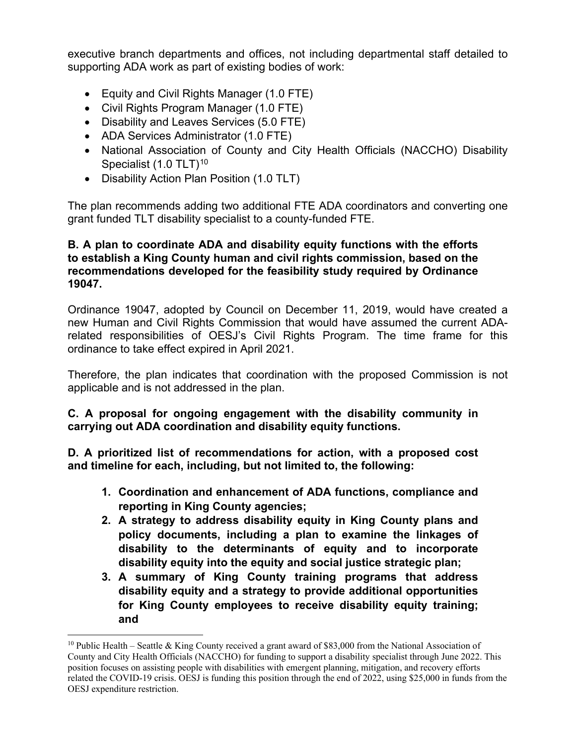executive branch departments and offices, not including departmental staff detailed to supporting ADA work as part of existing bodies of work:

- Equity and Civil Rights Manager (1.0 FTE)
- Civil Rights Program Manager (1.0 FTE)
- Disability and Leaves Services (5.0 FTE)
- ADA Services Administrator (1.0 FTE)
- National Association of County and City Health Officials (NACCHO) Disability Specialist (1.0 TLT)<sup>[10](#page-5-0)</sup>
- Disability Action Plan Position (1.0 TLT)

The plan recommends adding two additional FTE ADA coordinators and converting one grant funded TLT disability specialist to a county-funded FTE.

#### **B. A plan to coordinate ADA and disability equity functions with the efforts to establish a King County human and civil rights commission, based on the recommendations developed for the feasibility study required by Ordinance 19047.**

Ordinance 19047, adopted by Council on December 11, 2019, would have created a new Human and Civil Rights Commission that would have assumed the current ADArelated responsibilities of OESJ's Civil Rights Program. The time frame for this ordinance to take effect expired in April 2021.

Therefore, the plan indicates that coordination with the proposed Commission is not applicable and is not addressed in the plan.

### **C. A proposal for ongoing engagement with the disability community in carrying out ADA coordination and disability equity functions.**

**D. A prioritized list of recommendations for action, with a proposed cost and timeline for each, including, but not limited to, the following:**

- **1. Coordination and enhancement of ADA functions, compliance and reporting in King County agencies;**
- **2. A strategy to address disability equity in King County plans and policy documents, including a plan to examine the linkages of disability to the determinants of equity and to incorporate disability equity into the equity and social justice strategic plan;**
- **3. A summary of King County training programs that address disability equity and a strategy to provide additional opportunities for King County employees to receive disability equity training; and**

<span id="page-5-0"></span><sup>&</sup>lt;sup>10</sup> Public Health – Seattle & King County received a grant award of \$83,000 from the National Association of County and City Health Officials (NACCHO) for funding to support a disability specialist through June 2022. This position focuses on assisting people with disabilities with emergent planning, mitigation, and recovery efforts related the COVID-19 crisis. OESJ is funding this position through the end of 2022, using \$25,000 in funds from the OESJ expenditure restriction.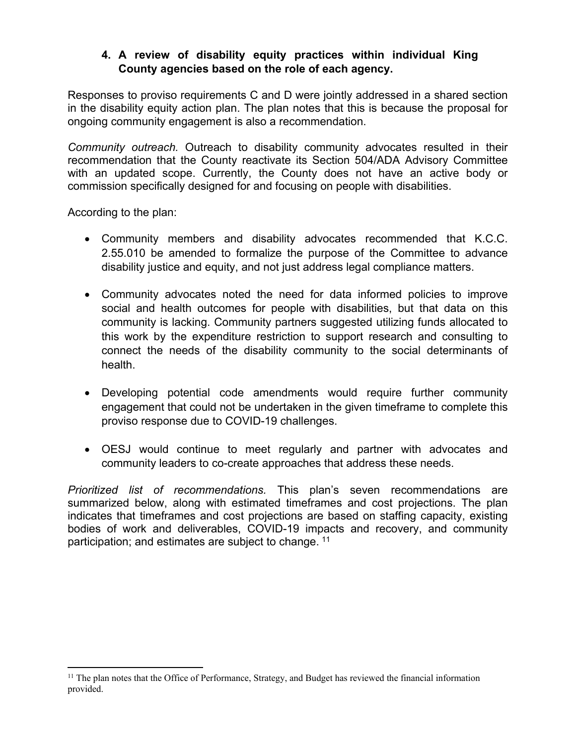### **4. A review of disability equity practices within individual King County agencies based on the role of each agency.**

Responses to proviso requirements C and D were jointly addressed in a shared section in the disability equity action plan. The plan notes that this is because the proposal for ongoing community engagement is also a recommendation.

*Community outreach.* Outreach to disability community advocates resulted in their recommendation that the County reactivate its Section 504/ADA Advisory Committee with an updated scope. Currently, the County does not have an active body or commission specifically designed for and focusing on people with disabilities.

According to the plan:

- Community members and disability advocates recommended that K.C.C. 2.55.010 be amended to formalize the purpose of the Committee to advance disability justice and equity, and not just address legal compliance matters.
- Community advocates noted the need for data informed policies to improve social and health outcomes for people with disabilities, but that data on this community is lacking. Community partners suggested utilizing funds allocated to this work by the expenditure restriction to support research and consulting to connect the needs of the disability community to the social determinants of health.
- Developing potential code amendments would require further community engagement that could not be undertaken in the given timeframe to complete this proviso response due to COVID-19 challenges.
- OESJ would continue to meet regularly and partner with advocates and community leaders to co-create approaches that address these needs.

*Prioritized list of recommendations.* This plan's seven recommendations are summarized below, along with estimated timeframes and cost projections. The plan indicates that timeframes and cost projections are based on staffing capacity, existing bodies of work and deliverables, COVID-19 impacts and recovery, and community participation; and estimates are subject to change. <sup>[11](#page-6-0)</sup>

<span id="page-6-0"></span><sup>&</sup>lt;sup>11</sup> The plan notes that the Office of Performance, Strategy, and Budget has reviewed the financial information provided.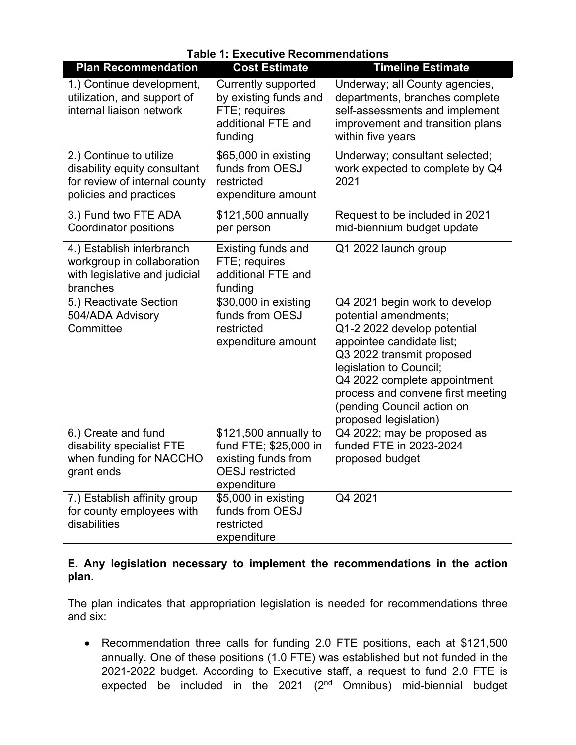| <b>Plan Recommendation</b>                                                                                         | <b>Cost Estimate</b>                                                                                           | <b>Timeline Estimate</b>                                                                                                                                                                                                                                                                               |
|--------------------------------------------------------------------------------------------------------------------|----------------------------------------------------------------------------------------------------------------|--------------------------------------------------------------------------------------------------------------------------------------------------------------------------------------------------------------------------------------------------------------------------------------------------------|
| 1.) Continue development,<br>utilization, and support of<br>internal liaison network                               | <b>Currently supported</b><br>by existing funds and<br>FTE; requires<br>additional FTE and<br>funding          | Underway; all County agencies,<br>departments, branches complete<br>self-assessments and implement<br>improvement and transition plans<br>within five years                                                                                                                                            |
| 2.) Continue to utilize<br>disability equity consultant<br>for review of internal county<br>policies and practices | \$65,000 in existing<br>funds from OESJ<br>restricted<br>expenditure amount                                    | Underway; consultant selected;<br>work expected to complete by Q4<br>2021                                                                                                                                                                                                                              |
| 3.) Fund two FTE ADA<br><b>Coordinator positions</b>                                                               | \$121,500 annually<br>per person                                                                               | Request to be included in 2021<br>mid-biennium budget update                                                                                                                                                                                                                                           |
| 4.) Establish interbranch<br>workgroup in collaboration<br>with legislative and judicial<br>branches               | Existing funds and<br>FTE; requires<br>additional FTE and<br>funding                                           | Q1 2022 launch group                                                                                                                                                                                                                                                                                   |
| 5.) Reactivate Section<br>504/ADA Advisory<br>Committee                                                            | \$30,000 in existing<br>funds from OESJ<br>restricted<br>expenditure amount                                    | Q4 2021 begin work to develop<br>potential amendments;<br>Q1-2 2022 develop potential<br>appointee candidate list;<br>Q3 2022 transmit proposed<br>legislation to Council;<br>Q4 2022 complete appointment<br>process and convene first meeting<br>(pending Council action on<br>proposed legislation) |
| 6.) Create and fund<br>disability specialist FTE<br>when funding for NACCHO<br>grant ends                          | \$121,500 annually to<br>fund FTE; \$25,000 in<br>existing funds from<br><b>OESJ</b> restricted<br>expenditure | $\overline{Q4}$ 2022; may be proposed as<br>funded FTE in 2023-2024<br>proposed budget                                                                                                                                                                                                                 |
| 7.) Establish affinity group<br>for county employees with<br>disabilities                                          | \$5,000 in existing<br>funds from OESJ<br>restricted<br>expenditure                                            | Q4 2021                                                                                                                                                                                                                                                                                                |

## **Table 1: Executive Recommendations**

## **E. Any legislation necessary to implement the recommendations in the action plan.**

The plan indicates that appropriation legislation is needed for recommendations three and six:

• Recommendation three calls for funding 2.0 FTE positions, each at \$121,500 annually. One of these positions (1.0 FTE) was established but not funded in the 2021-2022 budget. According to Executive staff, a request to fund 2.0 FTE is expected be included in the 2021 (2<sup>nd</sup> Omnibus) mid-biennial budget